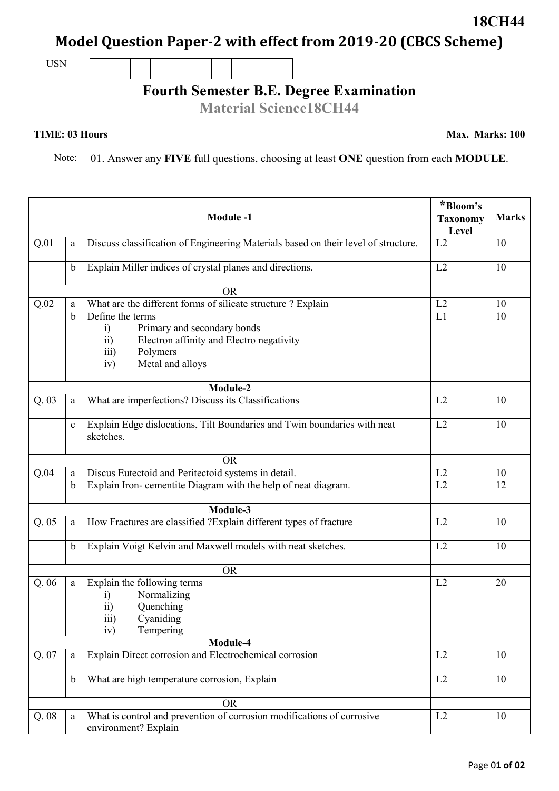## **Model Question Paper-2 with effect from 2019-20 (CBCS Scheme)**

USN

## **Fourth Semester B.E. Degree Examination**

**Material Science18CH44**

## **TIME: 03 Hours**

Note: 01. Answer any **FIVE** full questions, choosing at least **ONE** question from each **MODULE**.

|       |             | <b>Module-1</b>                                                                                                                                                                         | *Bloom's<br><b>Taxonomy</b><br>Level | <b>Marks</b> |
|-------|-------------|-----------------------------------------------------------------------------------------------------------------------------------------------------------------------------------------|--------------------------------------|--------------|
| Q.01  | a           | Discuss classification of Engineering Materials based on their level of structure.                                                                                                      | L2                                   | 10           |
|       | $\mathbf b$ | Explain Miller indices of crystal planes and directions.                                                                                                                                | L2                                   | 10           |
|       |             | <b>OR</b>                                                                                                                                                                               |                                      |              |
| Q.02  | a           | What are the different forms of silicate structure ? Explain                                                                                                                            | L2                                   | 10           |
|       | $\mathbf b$ | Define the terms<br>Primary and secondary bonds<br>$\ddot{1}$<br>Electron affinity and Electro negativity<br>$\overline{11}$<br>Polymers<br>$\overline{111}$<br>Metal and alloys<br>iv) | L1                                   | 10           |
|       |             | Module-2                                                                                                                                                                                |                                      |              |
| Q.03  | a           | What are imperfections? Discuss its Classifications                                                                                                                                     | L2                                   | 10           |
|       | $\mathbf c$ | Explain Edge dislocations, Tilt Boundaries and Twin boundaries with neat<br>sketches.                                                                                                   | L2                                   | 10           |
|       |             | <b>OR</b>                                                                                                                                                                               |                                      |              |
| Q.04  | a           | Discus Eutectoid and Peritectoid systems in detail.                                                                                                                                     | L2                                   | 10           |
|       | $\mathbf b$ | Explain Iron-cementite Diagram with the help of neat diagram.                                                                                                                           | $\overline{L2}$                      | 12           |
|       |             | Module-3                                                                                                                                                                                |                                      |              |
| Q.05  | a           | How Fractures are classified ?Explain different types of fracture                                                                                                                       | L2                                   | 10           |
|       | b           | Explain Voigt Kelvin and Maxwell models with neat sketches.                                                                                                                             | L2                                   | 10           |
|       |             | <b>OR</b>                                                                                                                                                                               |                                      |              |
| Q.06  | a           | Explain the following terms<br>Normalizing<br>$\mathbf{i}$<br>$\overline{ii}$<br>Quenching<br>iii)<br>Cyaniding<br>Tempering<br>iv)                                                     | L2                                   | 20           |
|       |             | Module-4                                                                                                                                                                                |                                      |              |
| Q. 07 | a           | Explain Direct corrosion and Electrochemical corrosion                                                                                                                                  | L2                                   | 10           |
|       | $\mathbf b$ | What are high temperature corrosion, Explain                                                                                                                                            | L2                                   | 10           |
|       |             | <b>OR</b>                                                                                                                                                                               |                                      |              |
| Q.08  | a           | What is control and prevention of corrosion modifications of corrosive<br>environment? Explain                                                                                          | L2                                   | 10           |

**18CH44**

**Max. Marks: 100**